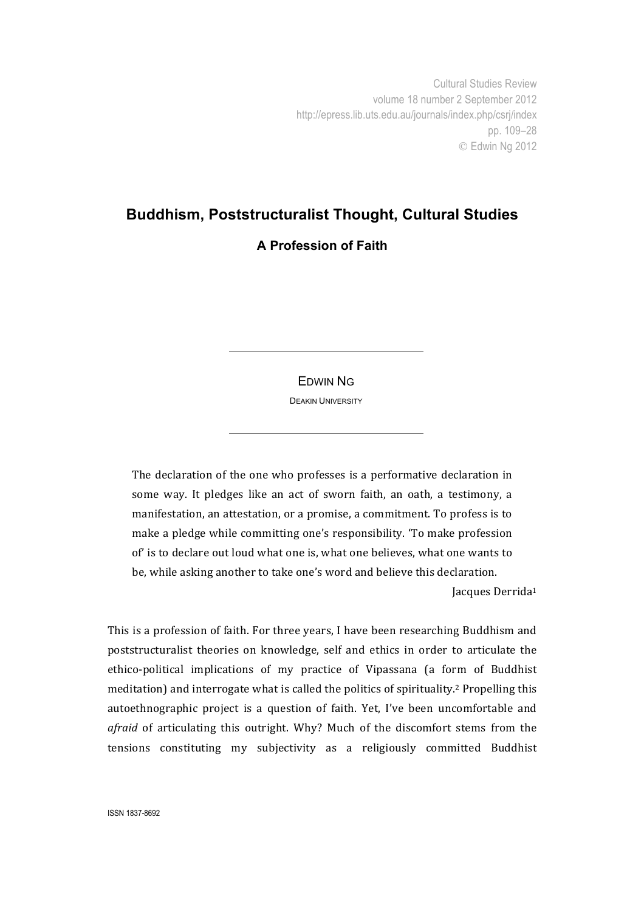Cultural Studies Review volume 18 number 2 September 2012 http://epress.lib.uts.edu.au/journals/index.php/csrj/index pp. 109–28 Edwin Ng 2012

# **Buddhism, Poststructuralist Thought, Cultural Studies**

## **A Profession of Faith**

EDWIN NG

DEAKIN UNIVERSITY

The declaration of the one who professes is a performative declaration in some way. It pledges like an act of sworn faith, an oath, a testimony, a manifestation, an attestation, or a promise, a commitment. To profess is to make a pledge while committing one's responsibility. 'To make profession of is to declare out loud what one is, what one believes, what one wants to be, while asking another to take one's word and believe this declaration.

Jacques Derrida<sup>1</sup>

This is a profession of faith. For three years, I have been researching Buddhism and poststructuralist theories on knowledge, self and ethics in order to articulate the ethico-political implications of my practice of Vipassana (a form of Buddhist meditation) and interrogate what is called the politics of spirituality.<sup>2</sup> Propelling this autoethnographic project is a question of faith. Yet, I've been uncomfortable and afraid of articulating this outright. Why? Much of the discomfort stems from the tensions constituting my subjectivity as a religiously committed Buddhist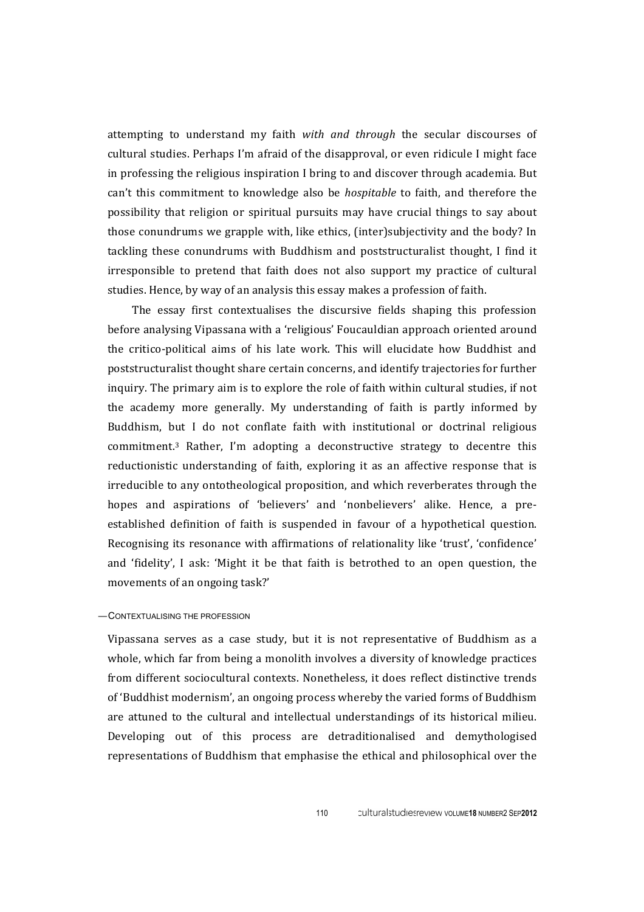attempting to understand my faith *with and through* the secular discourses of cultural studies. Perhaps I'm afraid of the disapproval, or even ridicule I might face in professing the religious inspiration I bring to and discover through academia. But can't this commitment to knowledge also be *hospitable* to faith, and therefore the possibility that religion or spiritual pursuits may have crucial things to say about those conundrums we grapple with, like ethics, (inter)subjectivity and the body? In tackling these conundrums with Buddhism and poststructuralist thought, I find it irresponsible to pretend that faith does not also support my practice of cultural studies. Hence, by way of an analysis this essay makes a profession of faith.

The essay first contextualises the discursive fields shaping this profession before analysing Vipassana with a 'religious' Foucauldian approach oriented around the critico-political aims of his late work. This will elucidate how Buddhist and poststructuralist thought share certain concerns, and identify trajectories for further inquiry. The primary aim is to explore the role of faith within cultural studies, if not the academy more generally. My understanding of faith is partly informed by Buddhism, but I do not conflate faith with institutional or doctrinal religious commitment.<sup>3</sup> Rather, I'm adopting a deconstructive strategy to decentre this reductionistic understanding of faith, exploring it as an affective response that is irreducible to any ontotheological proposition, and which reverberates through the hopes and aspirations of 'believers' and 'nonbelievers' alike. Hence, a preestablished definition of faith is suspended in favour of a hypothetical question. Recognising its resonance with affirmations of relationality like 'trust', 'confidence' and 'fidelity', I ask: 'Might it be that faith is betrothed to an open question, the movements of an ongoing task?'

#### —CONTEXTUALISING THE PROFESSION

Vipassana serves as a case study, but it is not representative of Buddhism as a whole, which far from being a monolith involves a diversity of knowledge practices from different sociocultural contexts. Nonetheless, it does reflect distinctive trends of 'Buddhist modernism', an ongoing process whereby the varied forms of Buddhism are attuned to the cultural and intellectual understandings of its historical milieu. Developing out of this process are detraditionalised and demythologised representations of Buddhism that emphasise the ethical and philosophical over the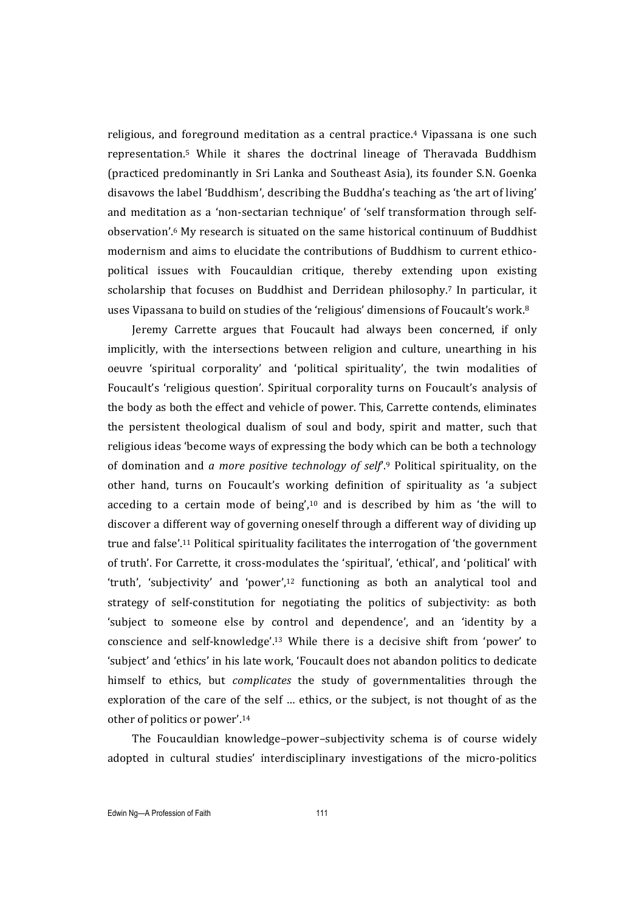religious, and foreground meditation as a central practice.<sup>4</sup> Vipassana is one such representation.<sup>5</sup> While it shares the doctrinal lineage of Theravada Buddhism (practiced predominantly in Sri Lanka and Southeast Asia), its founder S.N. Goenka disavows the label 'Buddhism', describing the Buddha's teaching as 'the art of living' and meditation as a 'non-sectarian technique' of 'self transformation through selfobservation'.<sup>6</sup> My research is situated on the same historical continuum of Buddhist modernism and aims to elucidate the contributions of Buddhism to current ethicopolitical issues with Foucauldian critique, thereby extending upon existing scholarship that focuses on Buddhist and Derridean philosophy.<sup>7</sup> In particular, it uses Vipassana to build on studies of the 'religious' dimensions of Foucault's work.<sup>8</sup>

Jeremy Carrette argues that Foucault had always been concerned, if only implicitly, with the intersections between religion and culture, unearthing in his oeuvre 'spiritual corporality' and 'political spirituality', the twin modalities of Foucault's 'religious question'. Spiritual corporality turns on Foucault's analysis of the body as both the effect and vehicle of power. This, Carrette contends, eliminates the persistent theological dualism of soul and body, spirit and matter, such that religious ideas 'become ways of expressing the body which can be both a technology of domination and *a more positive technology of self*.<sup>9</sup> Political spirituality, on the other hand, turns on Foucault's working definition of spirituality as 'a subject acceding to a certain mode of being', $10$  and is described by him as 'the will to discover a different way of governing oneself through a different way of dividing up true and false'.<sup>11</sup> Political spirituality facilitates the interrogation of 'the government of truth'. For Carrette, it cross-modulates the 'spiritual', 'ethical', and 'political' with 'truth', 'subjectivity' and 'power',<sup>12</sup> functioning as both an analytical tool and strategy of self-constitution for negotiating the politics of subjectivity: as both 'subject to someone else by control and dependence', and an 'identity by a conscience and self-knowledge'.<sup>13</sup> While there is a decisive shift from 'power' to 'subject' and 'ethics' in his late work, 'Foucault does not abandon politics to dedicate himself to ethics, but *complicates* the study of governmentalities through the exploration of the care of the self ... ethics, or the subject, is not thought of as the other of politics or power'.<sup>14</sup>

The Foucauldian knowledge-power-subjectivity schema is of course widely adopted in cultural studies' interdisciplinary investigations of the micro-politics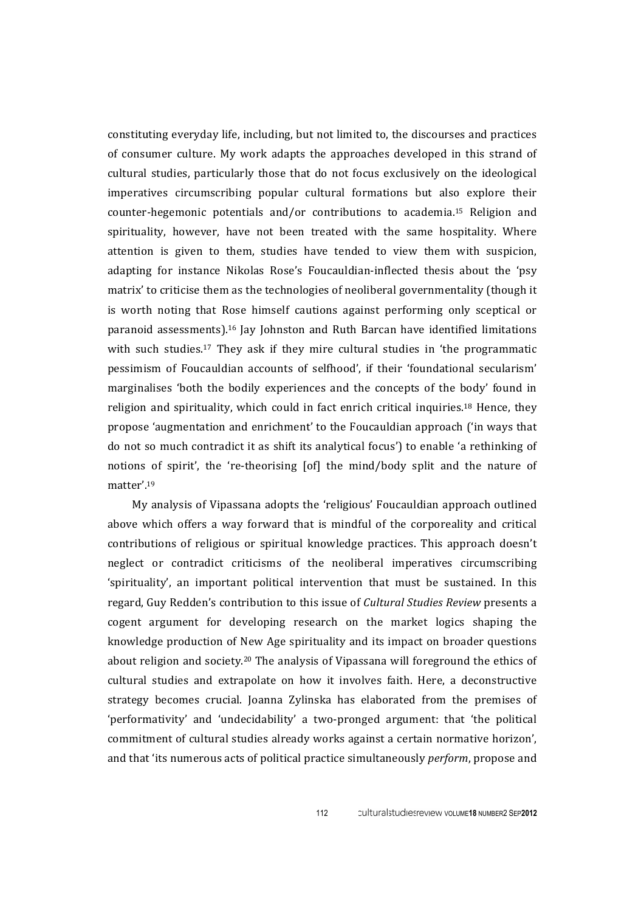constituting everyday life, including, but not limited to, the discourses and practices of consumer culture. My work adapts the approaches developed in this strand of cultural studies, particularly those that do not focus exclusively on the ideological imperatives circumscribing popular cultural formations but also explore their counter-hegemonic potentials and/or contributions to academia.<sup>15</sup> Religion and spirituality, however, have not been treated with the same hospitality. Where attention is given to them, studies have tended to view them with suspicion, adapting for instance Nikolas Rose's Foucauldian-inflected thesis about the 'psy matrix' to criticise them as the technologies of neoliberal governmentality (though it is worth noting that Rose himself cautions against performing only sceptical or paranoid assessments).<sup>16</sup> Jay Johnston and Ruth Barcan have identified limitations with such studies.<sup>17</sup> They ask if they mire cultural studies in 'the programmatic pessimism of Foucauldian accounts of selfhood', if their 'foundational secularism' marginalises 'both the bodily experiences and the concepts of the body' found in religion and spirituality, which could in fact enrich critical inquiries.<sup>18</sup> Hence, they propose 'augmentation and enrichment' to the Foucauldian approach ('in ways that do not so much contradict it as shift its analytical focus') to enable 'a rethinking of notions of spirit', the 're-theorising [of] the mind/body split and the nature of matter'. 19

My analysis of Vipassana adopts the 'religious' Foucauldian approach outlined above which offers a way forward that is mindful of the corporeality and critical contributions of religious or spiritual knowledge practices. This approach doesn't neglect or contradict criticisms of the neoliberal imperatives circumscribing 'spirituality', an important political intervention that must be sustained. In this regard, Guy Redden's contribution to this issue of *Cultural Studies Review* presents a cogent argument for developing research on the market logics shaping the knowledge production of New Age spirituality and its impact on broader questions about religion and society.<sup>20</sup> The analysis of Vipassana will foreground the ethics of cultural studies and extrapolate on how it involves faith. Here, a deconstructive strategy becomes crucial. Joanna Zylinska has elaborated from the premises of 'performativity' and 'undecidability' a two-pronged argument: that 'the political commitment of cultural studies already works against a certain normative horizon', and that 'its numerous acts of political practice simultaneously *perform*, propose and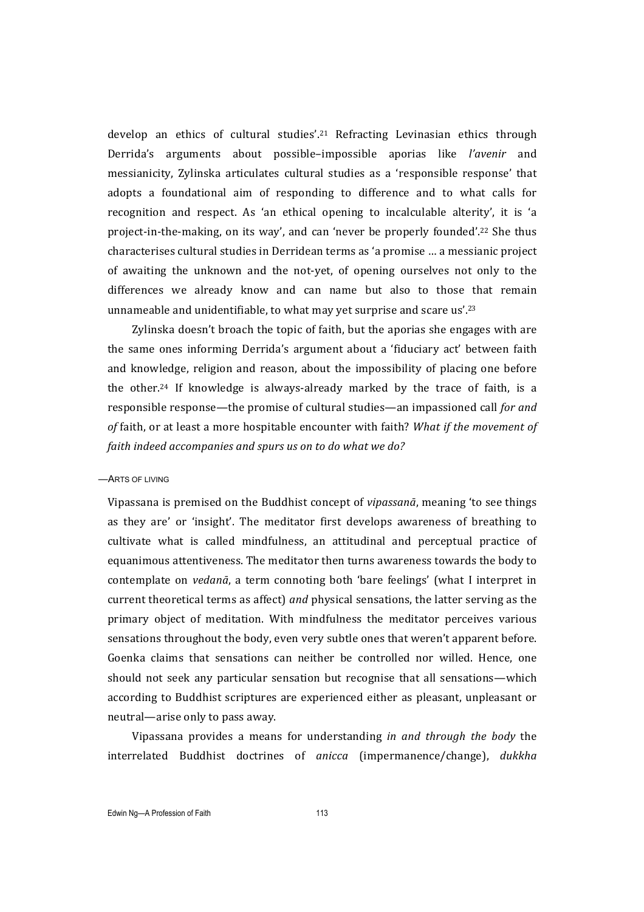develop an ethics of cultural studies'.<sup>21</sup> Refracting Levinasian ethics through Derrida's arguments about possible–impossible aporias like *l'avenir* and messianicity, Zylinska articulates cultural studies as a 'responsible response' that adopts a foundational aim of responding to difference and to what calls for recognition and respect. As 'an ethical opening to incalculable alterity', it is 'a project-in-the-making, on its way', and can 'never be properly founded'.<sup>22</sup> She thus characterises cultural studies in Derridean terms as 'a promise ... a messianic project of awaiting the unknown and the not-yet, of opening ourselves not only to the differences we already know and can name but also to those that remain unnameable and unidentifiable, to what may vet surprise and scare us'.<sup>23</sup>

Zylinska doesn't broach the topic of faith, but the aporias she engages with are the same ones informing Derrida's argument about a 'fiduciary act' between faith and knowledge, religion and reason, about the impossibility of placing one before the other.<sup>24</sup> If knowledge is always-already marked by the trace of faith, is a responsible response—the promise of cultural studies—an impassioned call *for and of* faith, or at least a more hospitable encounter with faith? *What if the movement of* faith indeed accompanies and spurs us on to do what we do?

#### —ARTS OF LIVING

Vipassana is premised on the Buddhist concept of *vipassanā*, meaning 'to see things as they are' or 'insight'. The meditator first develops awareness of breathing to cultivate what is called mindfulness, an attitudinal and perceptual practice of equanimous attentiveness. The meditator then turns awareness towards the body to contemplate on *vedanā*, a term connoting both 'bare feelings' (what I interpret in current theoretical terms as affect) *and* physical sensations, the latter serving as the primary object of meditation. With mindfulness the meditator perceives various sensations throughout the body, even very subtle ones that weren't apparent before. Goenka claims that sensations can neither be controlled nor willed. Hence, one should not seek any particular sensation but recognise that all sensations—which according to Buddhist scriptures are experienced either as pleasant, unpleasant or neutral—arise only to pass away.

Vipassana provides a means for understanding *in and through the body* the interrelated Buddhist doctrines of *anicca* (impermanence/change), *dukkha*

Edwin Ng-A Profession of Faith 113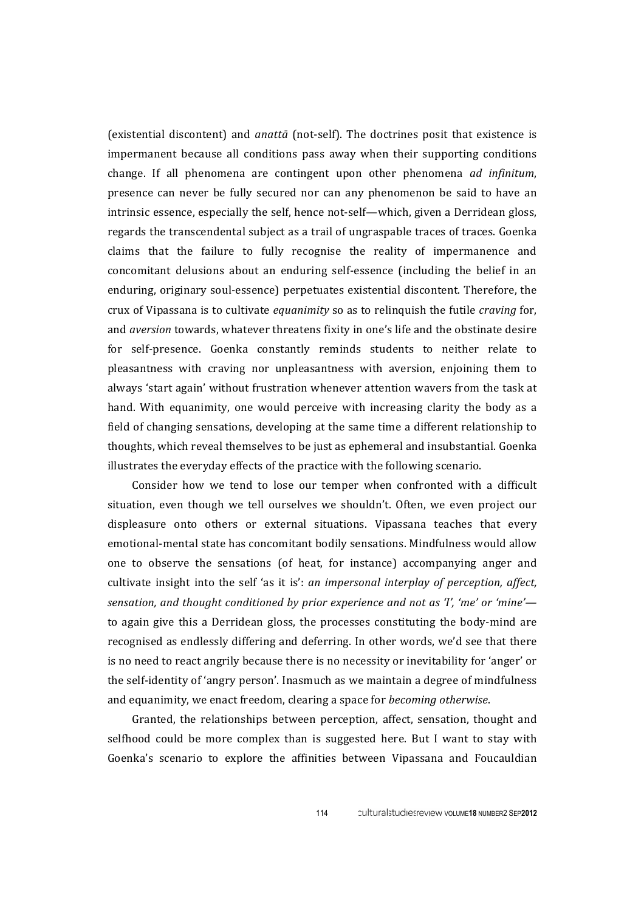(existential discontent) and *anattā* (not-self). The doctrines posit that existence is impermanent because all conditions pass away when their supporting conditions change. If all phenomena are contingent upon other phenomena *ad infinitum*, presence can never be fully secured nor can any phenomenon be said to have an intrinsic essence, especially the self, hence not-self—which, given a Derridean gloss, regards the transcendental subject as a trail of ungraspable traces of traces. Goenka claims that the failure to fully recognise the reality of impermanence and concomitant delusions about an enduring self-essence (including the belief in an enduring, originary soul-essence) perpetuates existential discontent. Therefore, the crux of Vipassana is to cultivate *equanimity* so as to relinquish the futile *craving* for, and *aversion* towards, whatever threatens fixity in one's life and the obstinate desire for self-presence. Goenka constantly reminds students to neither relate to pleasantness with craving nor unpleasantness with aversion, enjoining them to always 'start again' without frustration whenever attention wavers from the task at hand. With equanimity, one would perceive with increasing clarity the body as a field of changing sensations, developing at the same time a different relationship to thoughts, which reveal themselves to be just as ephemeral and insubstantial. Goenka illustrates the everyday effects of the practice with the following scenario.

Consider how we tend to lose our temper when confronted with a difficult situation, even though we tell ourselves we shouldn't. Often, we even project our displeasure onto others or external situations. Vipassana teaches that every emotional-mental state has concomitant bodily sensations. Mindfulness would allow one to observe the sensations (of heat, for instance) accompanying anger and cultivate insight into the self 'as it is': *an* impersonal interplay of perception, affect, *sensation, and thought conditioned by prior experience and not as 'I', 'me' or 'mine'* to again give this a Derridean gloss, the processes constituting the body-mind are recognised as endlessly differing and deferring. In other words, we'd see that there is no need to react angrily because there is no necessity or inevitability for 'anger' or the self-identity of 'angry person'. Inasmuch as we maintain a degree of mindfulness and equanimity, we enact freedom, clearing a space for *becoming otherwise*.

Granted, the relationships between perception, affect, sensation, thought and selfhood could be more complex than is suggested here. But I want to stay with Goenka's scenario to explore the affinities between Vipassana and Foucauldian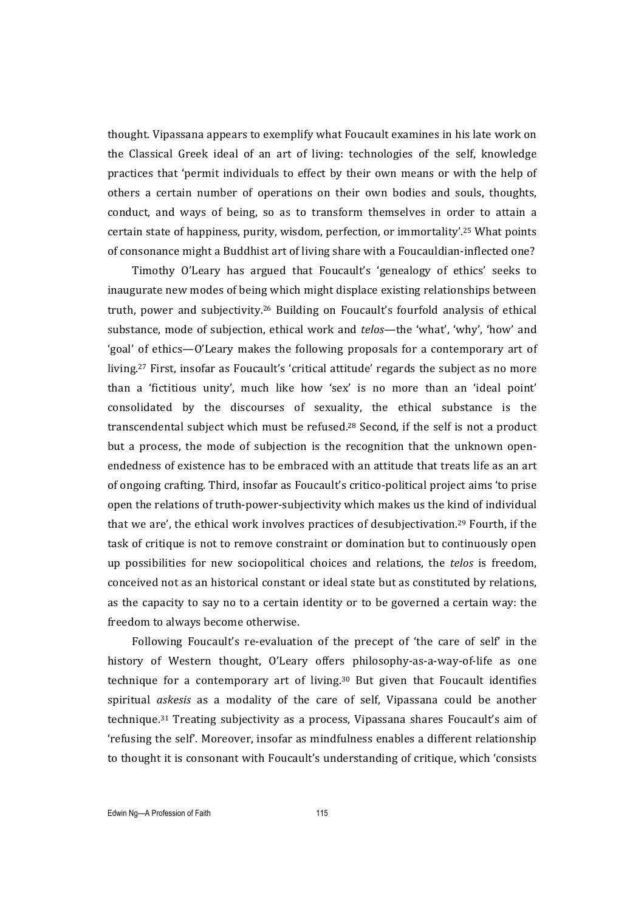thought. Vipassana appears to exemplify what Foucault examines in his late work on the Classical Greek ideal of an art of living: technologies of the self, knowledge practices that 'permit individuals to effect by their own means or with the help of others a certain number of operations on their own bodies and souls, thoughts, conduct, and ways of being, so as to transform themselves in order to attain a certain state of happiness, purity, wisdom, perfection, or immortality'.<sup>25</sup> What points of consonance might a Buddhist art of living share with a Foucauldian-inflected one?

Timothy O'Leary has argued that Foucault's 'genealogy of ethics' seeks to inaugurate new modes of being which might displace existing relationships between truth, power and subjectivity.<sup>26</sup> Building on Foucault's fourfold analysis of ethical substance, mode of subjection, ethical work and *telos*—the 'what', 'why', 'how' and 'goal' of ethics—O'Leary makes the following proposals for a contemporary art of living.<sup>27</sup> First, insofar as Foucault's 'critical attitude' regards the subject as no more than a 'fictitious unity', much like how 'sex' is no more than an 'ideal point' consolidated by the discourses of sexuality, the ethical substance is the transcendental subject which must be refused.<sup>28</sup> Second, if the self is not a product but a process, the mode of subjection is the recognition that the unknown openendedness of existence has to be embraced with an attitude that treats life as an art of ongoing crafting. Third, insofar as Foucault's critico-political project aims 'to prise open the relations of truth-power-subjectivity which makes us the kind of individual that we are', the ethical work involves practices of desubjectivation.<sup>29</sup> Fourth, if the task of critique is not to remove constraint or domination but to continuously open up possibilities for new sociopolitical choices and relations, the *telos* is freedom, conceived not as an historical constant or ideal state but as constituted by relations, as the capacity to say no to a certain identity or to be governed a certain way: the freedom to always become otherwise.

Following Foucault's re-evaluation of the precept of 'the care of self' in the history of Western thought, O'Leary offers philosophy-as-a-way-of-life as one technique for a contemporary art of living.<sup>30</sup> But given that Foucault identifies spiritual *askesis* as a modality of the care of self, Vipassana could be another technique.<sup>31</sup> Treating subjectivity as a process, Vipassana shares Foucault's aim of 'refusing the self'. Moreover, insofar as mindfulness enables a different relationship to thought it is consonant with Foucault's understanding of critique, which 'consists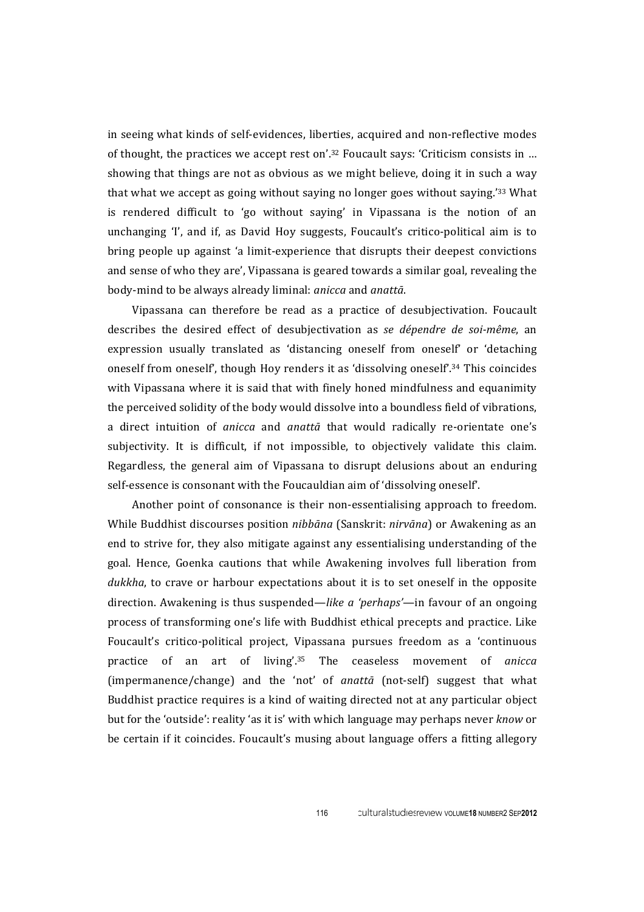in seeing what kinds of self-evidences, liberties, acquired and non-reflective modes of thought, the practices we accept rest on'.<sup>32</sup> Foucault says: 'Criticism consists in ... showing that things are not as obvious as we might believe, doing it in such a way that what we accept as going without saying no longer goes without saying.'<sup>33</sup> What is rendered difficult to 'go without saying' in Vipassana is the notion of an unchanging 'I', and if, as David Hoy suggests, Foucault's critico-political aim is to bring people up against 'a limit-experience that disrupts their deepest convictions and sense of who they are', Vipassana is geared towards a similar goal, revealing the body-mind to be always already liminal: *anicca* and *anattā*.

Vipassana can therefore be read as a practice of desubjectivation. Foucault describes the desired effect of desubjectivation as *se dépendre de soi-même*, an expression usually translated as 'distancing oneself from oneself' or 'detaching oneself from oneself', though Hoy renders it as 'dissolving oneself'.<sup>34</sup> This coincides with Vipassana where it is said that with finely honed mindfulness and equanimity the perceived solidity of the body would dissolve into a boundless field of vibrations, a direct intuition of *anicca* and *anattā* that would radically re-orientate one's subjectivity. It is difficult, if not impossible, to objectively validate this claim. Regardless, the general aim of Vipassana to disrupt delusions about an enduring self-essence is consonant with the Foucauldian aim of 'dissolving oneself'.

Another point of consonance is their non-essentialising approach to freedom. While Buddhist discourses position *nibbāna* (Sanskrit: *nirvāna*) or Awakening as an end to strive for, they also mitigate against any essentialising understanding of the goal. Hence, Goenka cautions that while Awakening involves full liberation from *dukkha*, to crave or harbour expectations about it is to set oneself in the opposite direction. Awakening is thus suspended—*like a 'perhaps'*—in favour of an ongoing process of transforming one's life with Buddhist ethical precepts and practice. Like Foucault's critico-political project, Vipassana pursues freedom as a 'continuous practice of an art of living'.<sup>35</sup> The ceaseless movement of anicca (impermanence/change) and the 'not' of *anattā* (not-self) suggest that what Buddhist practice requires is a kind of waiting directed not at any particular object but for the 'outside': reality 'as it is' with which language may perhaps never *know* or be certain if it coincides. Foucault's musing about language offers a fitting allegory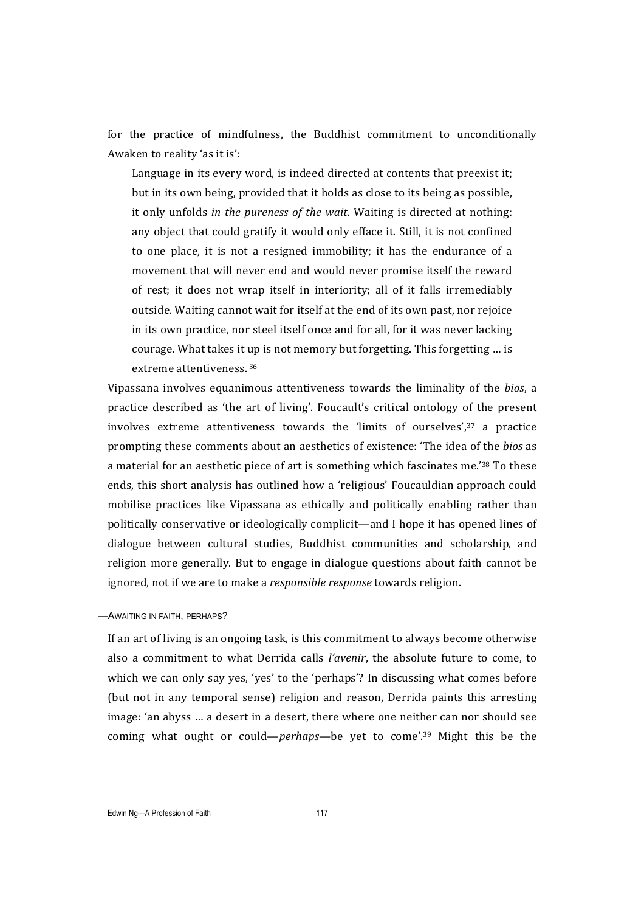for the practice of mindfulness, the Buddhist commitment to unconditionally Awaken to reality 'as it is':

Language in its every word, is indeed directed at contents that preexist it; but in its own being, provided that it holds as close to its being as possible, it only unfolds *in the pureness of the wait*. Waiting is directed at nothing: any object that could gratify it would only efface it. Still, it is not confined to one place, it is not a resigned immobility; it has the endurance of a movement that will never end and would never promise itself the reward of rest; it does not wrap itself in interiority; all of it falls irremediably outside. Waiting cannot wait for itself at the end of its own past, nor rejoice in its own practice, nor steel itself once and for all, for it was never lacking courage. What takes it up is not memory but forgetting. This forgetting ... is extreme attentiveness. 36

Vipassana involves equanimous attentiveness towards the liminality of the *bios*, a practice described as 'the art of living'. Foucault's critical ontology of the present involves extreme attentiveness towards the 'limits of ourselves', $37$  a practice prompting these comments about an aesthetics of existence: 'The idea of the *bios* as a material for an aesthetic piece of art is something which fascinates me.'38 To these ends, this short analysis has outlined how a 'religious' Foucauldian approach could mobilise practices like Vipassana as ethically and politically enabling rather than politically conservative or ideologically complicit—and I hope it has opened lines of dialogue between cultural studies, Buddhist communities and scholarship, and religion more generally. But to engage in dialogue questions about faith cannot be ignored, not if we are to make a *responsible response* towards religion.

—AWAITING IN FAITH, PERHAPS?

If an art of living is an ongoing task, is this commitment to always become otherwise also a commitment to what Derrida calls *l'avenir*, the absolute future to come, to which we can only say yes, 'yes' to the 'perhaps'? In discussing what comes before (but not in any temporal sense) religion and reason, Derrida paints this arresting image: 'an abyss ... a desert in a desert, there where one neither can nor should see coming what ought or could—*perhaps*—be yet to come'.<sup>39</sup> Might this be the

Edwin Ng—A Profession of Faith 117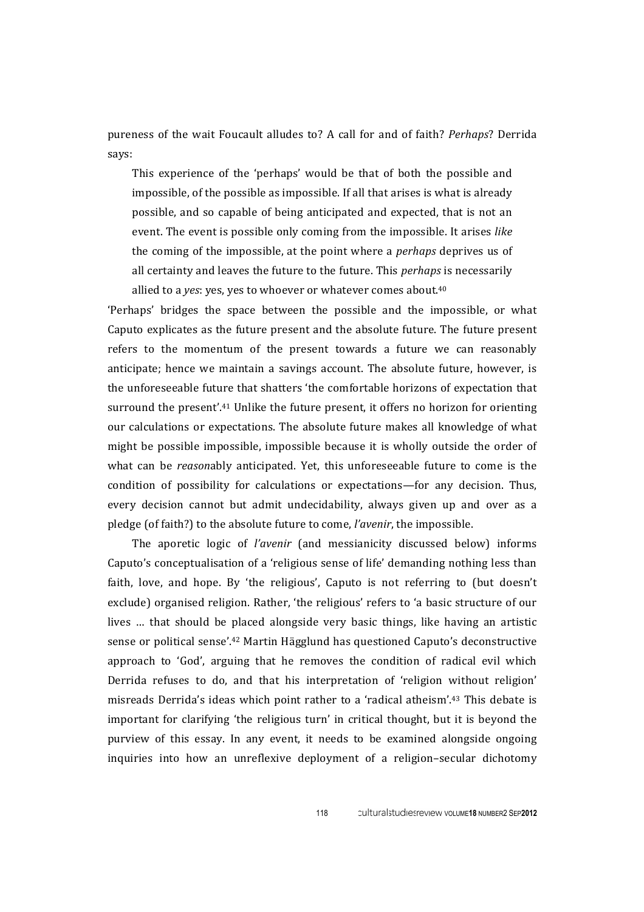pureness of the wait Foucault alludes to? A call for and of faith? *Perhaps*? Derrida says:

This experience of the 'perhaps' would be that of both the possible and impossible, of the possible as impossible. If all that arises is what is already possible, and so capable of being anticipated and expected, that is not an event. The event is possible only coming from the impossible. It arises *like* the coming of the impossible, at the point where a *perhaps* deprives us of all certainty and leaves the future to the future. This *perhaps* is necessarily allied to a yes: yes, yes to whoever or whatever comes about.<sup>40</sup>

'Perhaps' bridges the space between the possible and the impossible, or what Caputo explicates as the future present and the absolute future. The future present refers to the momentum of the present towards a future we can reasonably anticipate; hence we maintain a savings account. The absolute future, however, is the unforeseeable future that shatters 'the comfortable horizons of expectation that surround the present'.<sup>41</sup> Unlike the future present, it offers no horizon for orienting our calculations or expectations. The absolute future makes all knowledge of what might be possible impossible, impossible because it is wholly outside the order of what can be *reasonably* anticipated. Yet, this unforeseeable future to come is the condition of possibility for calculations or expectations—for any decision. Thus, every decision cannot but admit undecidability, always given up and over as a pledge (of faith?) to the absolute future to come, *l'avenir*, the impossible.

The aporetic logic of *l'avenir* (and messianicity discussed below) informs Caputo's conceptualisation of a 'religious sense of life' demanding nothing less than faith, love, and hope. By 'the religious', Caputo is not referring to (but doesn't exclude) organised religion. Rather, 'the religious' refers to 'a basic structure of our lives ... that should be placed alongside very basic things, like having an artistic sense or political sense'.<sup>42</sup> Martin Hägglund has questioned Caputo's deconstructive approach to 'God', arguing that he removes the condition of radical evil which Derrida refuses to do, and that his interpretation of 'religion without religion' misreads Derrida's ideas which point rather to a 'radical atheism'.<sup>43</sup> This debate is important for clarifying 'the religious turn' in critical thought, but it is beyond the purview of this essay. In any event, it needs to be examined alongside ongoing inquiries into how an unreflexive deployment of a religion–secular dichotomy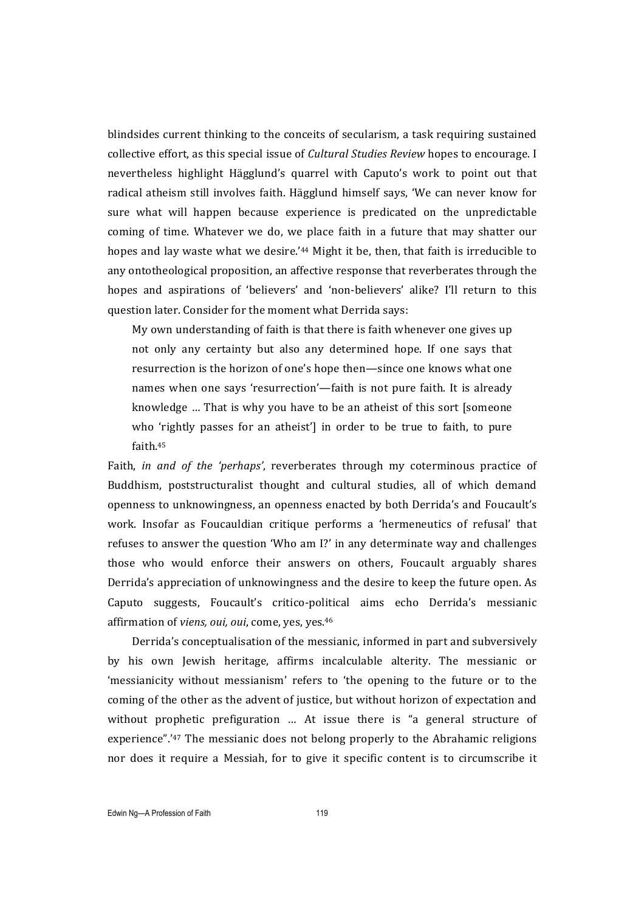blindsides current thinking to the conceits of secularism, a task requiring sustained collective effort, as this special issue of *Cultural Studies Review* hopes to encourage. I nevertheless highlight Hägglund's quarrel with Caputo's work to point out that radical atheism still involves faith. Hägglund himself says, 'We can never know for sure what will happen because experience is predicated on the unpredictable coming of time. Whatever we do, we place faith in a future that may shatter our hopes and lay waste what we desire.' $44$  Might it be, then, that faith is irreducible to any ontotheological proposition, an affective response that reverberates through the hopes and aspirations of 'believers' and 'non-believers' alike? I'll return to this question later. Consider for the moment what Derrida says:

My own understanding of faith is that there is faith whenever one gives up not only any certainty but also any determined hope. If one says that resurrection is the horizon of one's hope then—since one knows what one names when one says 'resurrection'—faith is not pure faith. It is already knowledge ... That is why you have to be an atheist of this sort [someone who 'rightly passes for an atheist'] in order to be true to faith, to pure faith.45

Faith, *in and of the 'perhaps'*, reverberates through my coterminous practice of Buddhism, poststructuralist thought and cultural studies, all of which demand openness to unknowingness, an openness enacted by both Derrida's and Foucault's work. Insofar as Foucauldian critique performs a 'hermeneutics of refusal' that refuses to answer the question 'Who am I?' in any determinate way and challenges those who would enforce their answers on others, Foucault arguably shares Derrida's appreciation of unknowingness and the desire to keep the future open. As Caputo suggests, Foucault's critico-political aims echo Derrida's messianic affirmation of *viens, oui, oui*, come, yes, yes.<sup>46</sup>

Derrida's conceptualisation of the messianic, informed in part and subversively by his own Jewish heritage, affirms incalculable alterity. The messianic or 'messianicity without messianism' refers to 'the opening to the future or to the coming of the other as the advent of justice, but without horizon of expectation and without prophetic prefiguration  $\dots$  At issue there is "a general structure of experience".'47 The messianic does not belong properly to the Abrahamic religions nor does it require a Messiah, for to give it specific content is to circumscribe it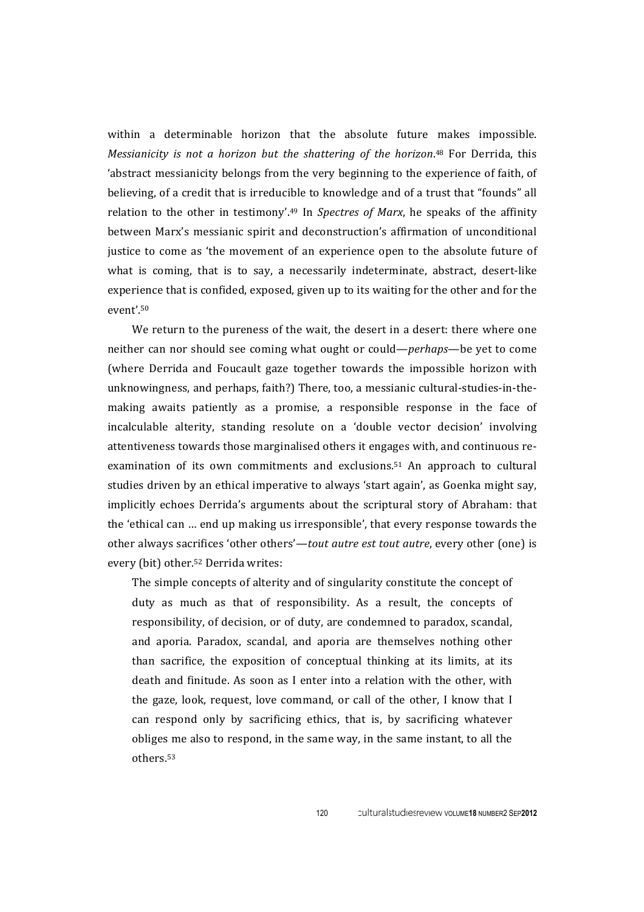within a determinable horizon that the absolute future makes impossible. Messianicity is not a horizon but the shattering of the horizon.<sup>48</sup> For Derrida, this 'abstract messianicity belongs from the very beginning to the experience of faith, of believing, of a credit that is irreducible to knowledge and of a trust that "founds" all relation to the other in testimony'.<sup>49</sup> In *Spectres of Marx*, he speaks of the affinity between Marx's messianic spirit and deconstruction's affirmation of unconditional justice to come as 'the movement of an experience open to the absolute future of what is coming, that is to say, a necessarily indeterminate, abstract, desert-like experience that is confided, exposed, given up to its waiting for the other and for the event'.50

We return to the pureness of the wait, the desert in a desert: there where one neither can nor should see coming what ought or could—*perhaps*—be yet to come (where Derrida and Foucault gaze together towards the impossible horizon with unknowingness, and perhaps, faith?) There, too, a messianic cultural-studies-in-themaking awaits patiently as a promise, a responsible response in the face of incalculable alterity, standing resolute on a 'double vector decision' involving attentiveness towards those marginalised others it engages with, and continuous reexamination of its own commitments and exclusions.<sup>51</sup> An approach to cultural studies driven by an ethical imperative to always 'start again', as Goenka might say, implicitly echoes Derrida's arguments about the scriptural story of Abraham: that the 'ethical can  $\ldots$  end up making us irresponsible', that every response towards the other always sacrifices 'other others'—*tout autre est tout autre*, every other (one) is every (bit) other.<sup>52</sup> Derrida writes:

The simple concepts of alterity and of singularity constitute the concept of duty as much as that of responsibility. As a result, the concepts of responsibility, of decision, or of duty, are condemned to paradox, scandal, and aporia. Paradox, scandal, and aporia are themselves nothing other than sacrifice, the exposition of conceptual thinking at its limits, at its death and finitude. As soon as I enter into a relation with the other, with the gaze, look, request, love command, or call of the other, I know that I can respond only by sacrificing ethics, that is, by sacrificing whatever obliges me also to respond, in the same way, in the same instant, to all the others.53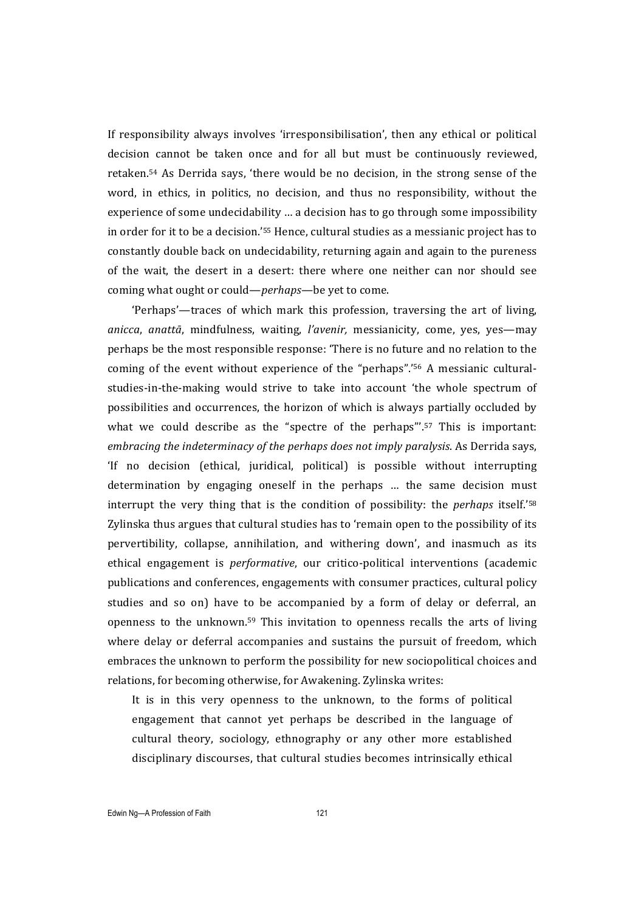If responsibility always involves 'irresponsibilisation', then any ethical or political decision cannot be taken once and for all but must be continuously reviewed, retaken.<sup>54</sup> As Derrida says, 'there would be no decision, in the strong sense of the word, in ethics, in politics, no decision, and thus no responsibility, without the experience of some undecidability ... a decision has to go through some impossibility in order for it to be a decision.'<sup>55</sup> Hence, cultural studies as a messianic project has to constantly double back on undecidability, returning again and again to the pureness of the wait, the desert in a desert; there where one neither can nor should see coming what ought or could—*perhaps*—be yet to come.

'Perhaps'—traces of which mark this profession, traversing the art of living, *anicca*, *anattā*, mindfulness, waiting, *l'avenir*, messianicity, come, yes, yes—may perhaps be the most responsible response: 'There is no future and no relation to the coming of the event without experience of the "perhaps".<sup>'56</sup> A messianic culturalstudies-in-the-making would strive to take into account 'the whole spectrum of possibilities and occurrences, the horizon of which is always partially occluded by what we could describe as the "spectre of the perhaps".<sup>57</sup> This is important: *embracing the indeterminacy of the perhaps does not imply paralysis.* As Derrida says, 'If no decision (ethical, juridical, political) is possible without interrupting determination by engaging oneself in the perhaps  $\ldots$  the same decision must interrupt the very thing that is the condition of possibility: the *perhaps* itself.<sup>'58</sup> Zylinska thus argues that cultural studies has to 'remain open to the possibility of its pervertibility, collapse, annihilation, and withering down', and inasmuch as its ethical engagement is *performative*, our critico-political interventions (academic publications and conferences, engagements with consumer practices, cultural policy studies and so on) have to be accompanied by a form of delay or deferral, an openness to the unknown.<sup>59</sup> This invitation to openness recalls the arts of living where delay or deferral accompanies and sustains the pursuit of freedom, which embraces the unknown to perform the possibility for new sociopolitical choices and relations, for becoming otherwise, for Awakening. Zylinska writes:

It is in this very openness to the unknown, to the forms of political engagement that cannot yet perhaps be described in the language of cultural theory, sociology, ethnography or any other more established disciplinary discourses, that cultural studies becomes intrinsically ethical

Edwin Ng—A Profession of Faith 121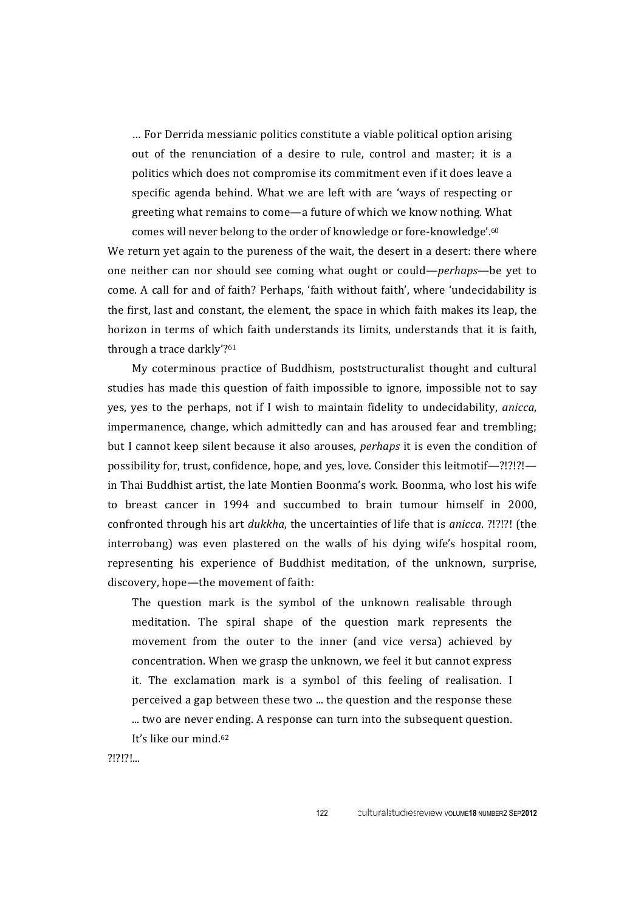... For Derrida messianic politics constitute a viable political option arising out of the renunciation of a desire to rule, control and master; it is a politics which does not compromise its commitment even if it does leave a specific agenda behind. What we are left with are 'ways of respecting or greeting what remains to come—a future of which we know nothing. What comes will never belong to the order of knowledge or fore-knowledge'.<sup>60</sup>

We return yet again to the pureness of the wait, the desert in a desert: there where one neither can nor should see coming what ought or could—*perhaps*—be vet to come. A call for and of faith? Perhaps, 'faith without faith', where 'undecidability is the first, last and constant, the element, the space in which faith makes its leap, the horizon in terms of which faith understands its limits, understands that it is faith, through a trace darkly'?<sup>61</sup>

My coterminous practice of Buddhism, poststructuralist thought and cultural studies has made this question of faith impossible to ignore, impossible not to say yes, yes to the perhaps, not if I wish to maintain fidelity to undecidability, *anicca*, impermanence, change, which admittedly can and has aroused fear and trembling; but I cannot keep silent because it also arouses, *perhaps* it is even the condition of possibility for, trust, confidence, hope, and yes, love. Consider this leitmotif—?!?!?! in Thai Buddhist artist, the late Montien Boonma's work. Boonma, who lost his wife to breast cancer in 1994 and succumbed to brain tumour himself in 2000, confronted through his art *dukkha*, the uncertainties of life that is *anicca*. ?!?!?! (the interrobang) was even plastered on the walls of his dying wife's hospital room, representing his experience of Buddhist meditation, of the unknown, surprise, discovery, hope—the movement of faith:

The question mark is the symbol of the unknown realisable through meditation. The spiral shape of the question mark represents the movement from the outer to the inner (and vice versa) achieved by concentration. When we grasp the unknown, we feel it but cannot express it. The exclamation mark is a symbol of this feeling of realisation. I perceived a gap between these two ... the question and the response these ... two are never ending. A response can turn into the subsequent question.

It's like our mind.<sup>62</sup>

?!?!?!...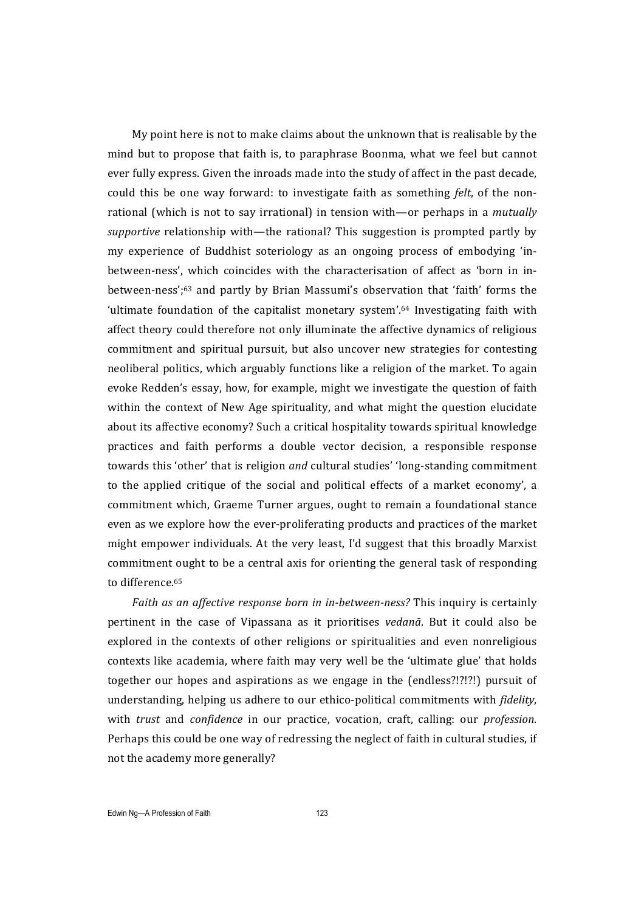My point here is not to make claims about the unknown that is realisable by the mind but to propose that faith is, to paraphrase Boonma, what we feel but cannot ever fully express. Given the inroads made into the study of affect in the past decade, could this be one way forward: to investigate faith as something *felt*, of the nonrational (which is not to say irrational) in tension with—or perhaps in a *mutually supportive* relationship with—the rational? This suggestion is prompted partly by my experience of Buddhist soteriology as an ongoing process of embodying 'inbetween-ness', which coincides with the characterisation of affect as 'born in inbetween-ness';<sup>63</sup> and partly by Brian Massumi's observation that 'faith' forms the 'ultimate foundation of the capitalist monetary system'.<sup>64</sup> Investigating faith with affect theory could therefore not only illuminate the affective dynamics of religious commitment and spiritual pursuit, but also uncover new strategies for contesting neoliberal politics, which arguably functions like a religion of the market. To again evoke Redden's essay, how, for example, might we investigate the question of faith within the context of New Age spirituality, and what might the question elucidate about its affective economy? Such a critical hospitality towards spiritual knowledge practices and faith performs a double vector decision, a responsible response towards this 'other' that is religion *and* cultural studies' 'long-standing commitment to the applied critique of the social and political effects of a market economy', a commitment which, Graeme Turner argues, ought to remain a foundational stance even as we explore how the ever-proliferating products and practices of the market might empower individuals. At the very least, I'd suggest that this broadly Marxist commitment ought to be a central axis for orienting the general task of responding to difference.<sup>65</sup>

*Faith* as an affective response born in in-between-ness? This inquiry is certainly pertinent in the case of Vipassana as it prioritises *vedanā*. But it could also be explored in the contexts of other religions or spiritualities and even nonreligious contexts like academia, where faith may very well be the 'ultimate glue' that holds together our hopes and aspirations as we engage in the  $[endless?]!]$ ?!!) pursuit of understanding, helping us adhere to our ethico-political commitments with *fidelity*, with *trust* and *confidence* in our practice, vocation, craft, calling: our *profession*. Perhaps this could be one way of redressing the neglect of faith in cultural studies, if not the academy more generally?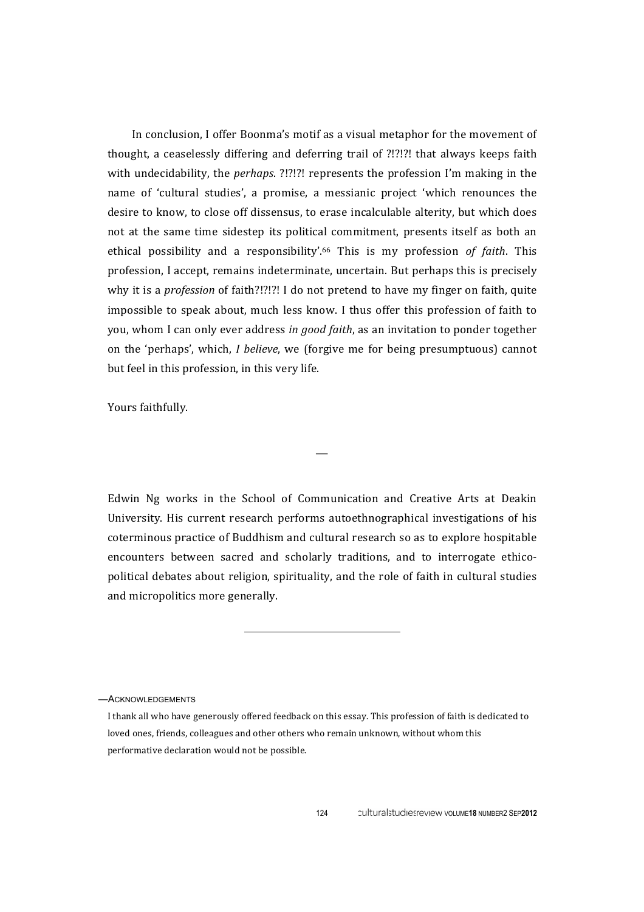In conclusion, I offer Boonma's motif as a visual metaphor for the movement of thought, a ceaselessly differing and deferring trail of ?!?!?! that always keeps faith with undecidability, the *perhaps*. ?!?!?! represents the profession I'm making in the name of 'cultural studies', a promise, a messianic project 'which renounces the desire to know, to close off dissensus, to erase incalculable alterity, but which does not at the same time sidestep its political commitment, presents itself as both an ethical possibility and a responsibility'.<sup>66</sup> This is my profession of faith. This profession, I accept, remains indeterminate, uncertain. But perhaps this is precisely why it is a *profession* of faith?!?!?! I do not pretend to have my finger on faith, quite impossible to speak about, much less know. I thus offer this profession of faith to you, whom I can only ever address *in good faith*, as an invitation to ponder together on the 'perhaps', which, *I believe*, we (forgive me for being presumptuous) cannot but feel in this profession, in this very life.

Yours faithfully.

Edwin Ng works in the School of Communication and Creative Arts at Deakin University. His current research performs autoethnographical investigations of his coterminous practice of Buddhism and cultural research so as to explore hospitable encounters between sacred and scholarly traditions, and to interrogate ethicopolitical debates about religion, spirituality, and the role of faith in cultural studies and micropolitics more generally.

<u> 1989 - Johann Stein, fransk politik (d. 1989)</u>

—

—ACKNOWLEDGEMENTS

I thank all who have generously offered feedback on this essay. This profession of faith is dedicated to loved ones, friends, colleagues and other others who remain unknown, without whom this performative declaration would not be possible.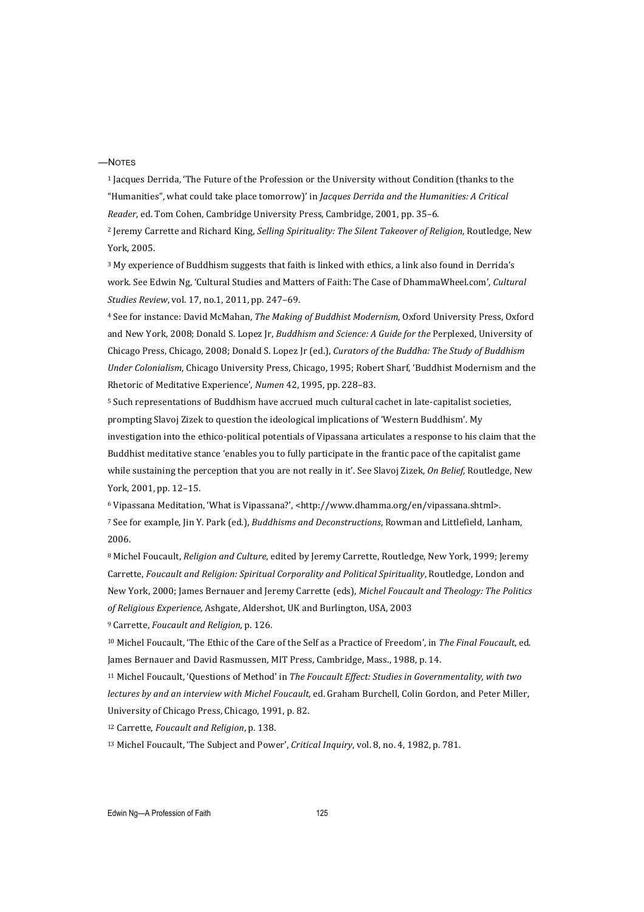### —NOTES

<sup>1</sup> Jacques Derrida, 'The Future of the Profession or the University without Condition (thanks to the "Humanities", what could take place tomorrow)' in *Jacques Derrida and the Humanities: A Critical Reader*, ed. Tom Cohen, Cambridge University Press, Cambridge, 2001, pp. 35–6.

<sup>2</sup> Jeremy Carrette and Richard King, *Selling Spirituality: The Silent Takeover of Religion*, Routledge, New York, 2005.

<sup>3</sup> My experience of Buddhism suggests that faith is linked with ethics, a link also found in Derrida's work. See Edwin Ng, 'Cultural Studies and Matters of Faith: The Case of DhammaWheel.com', Cultural *Studies Review, vol.* 17, no.1, 2011, pp. 247-69.

<sup>4</sup> See for instance: David McMahan, *The Making of Buddhist Modernism*, Oxford University Press, Oxford and New York, 2008; Donald S. Lopez Jr, *Buddhism and Science: A Guide for the Perplexed*, University of Chicago Press, Chicago, 2008; Donald S. Lopez Jr (ed.), *Curators of the Buddha: The Study of Buddhism Under Colonialism*, Chicago University Press, Chicago, 1995; Robert Sharf, 'Buddhist Modernism and the Rhetoric of Meditative Experience', *Numen* 42, 1995, pp. 228-83.

<sup>5</sup> Such representations of Buddhism have accrued much cultural cachet in late-capitalist societies, prompting Slavoj Zizek to question the ideological implications of 'Western Buddhism'. My investigation into the ethico-political potentials of Vipassana articulates a response to his claim that the Buddhist meditative stance 'enables you to fully participate in the frantic pace of the capitalist game while sustaining the perception that you are not really in it'. See Slavoj Zizek, *On Belief*, Routledge, New York, 2001, pp. 12-15.

 $6$  Vipassana Meditation, 'What is Vipassana?', <http://www.dhamma.org/en/vipassana.shtml>.

7 See for example, Jin Y. Park (ed.), *Buddhisms and Deconstructions*, Rowman and Littlefield, Lanham, 2006.

<sup>8</sup> Michel Foucault, *Religion and Culture*, edited by Jeremy Carrette, Routledge, New York, 1999; Jeremy Carrette, *Foucault and Religion: Spiritual Corporality and Political Spirituality*, Routledge, London and New York, 2000; James Bernauer and Jeremy Carrette (eds), *Michel Foucault and Theology: The Politics* of Religious Experience, Ashgate, Aldershot, UK and Burlington, USA, 2003

<sup>9</sup> Carrette, *Foucault and Religion*, p. 126.

<sup>10</sup> Michel Foucault, 'The Ethic of the Care of the Self as a Practice of Freedom', in The Final Foucault, ed. James Bernauer and David Rasmussen, MIT Press, Cambridge, Mass., 1988, p. 14.

<sup>11</sup> Michel Foucault, 'Questions of Method' in *The Foucault Effect: Studies in Governmentality, with two lectures by and an interview with Michel Foucault, ed. Graham Burchell, Colin Gordon, and Peter Miller,* University of Chicago Press, Chicago, 1991, p. 82.

12 Carrette, *Foucault and Religion*, p. 138.

<sup>13</sup> Michel Foucault, 'The Subject and Power', *Critical Inquiry*, vol. 8, no. 4, 1982, p. 781.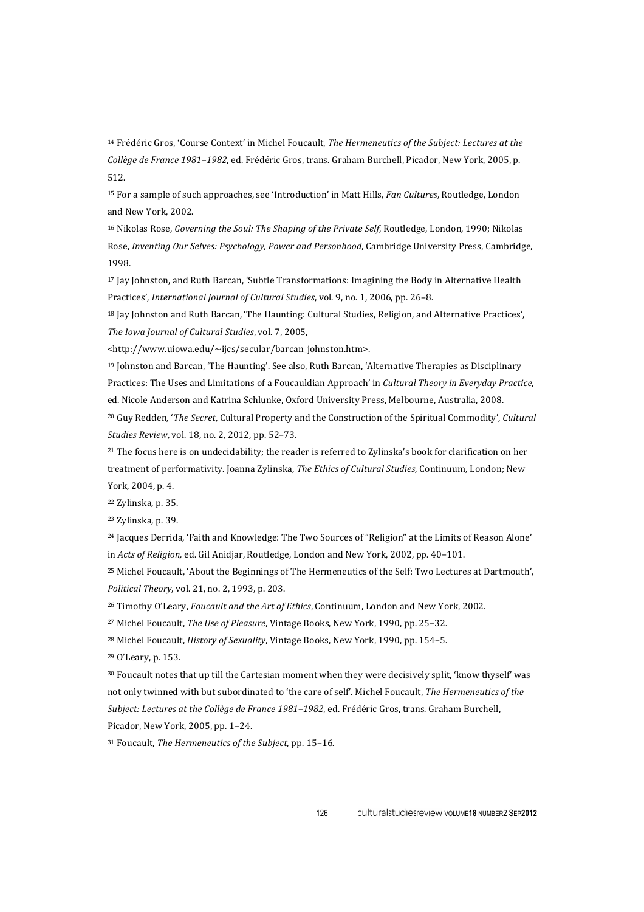<sup>14</sup> Frédéric Gros, 'Course Context' in Michel Foucault, *The Hermeneutics of the Subject: Lectures at the* Collège de France 1981-1982, ed. Frédéric Gros, trans. Graham Burchell, Picador, New York, 2005, p. 512.

<sup>15</sup> For a sample of such approaches, see 'Introduction' in Matt Hills, *Fan Cultures*, Routledge, London and New York, 2002.

<sup>16</sup> Nikolas Rose, *Governing the Soul: The Shaping of the Private Self*, Routledge, London, 1990; Nikolas Rose, *Inventing Our Selves: Psychology, Power and Personhood*, Cambridge University Press, Cambridge, 1998.

<sup>17</sup> Jay Johnston, and Ruth Barcan, 'Subtle Transformations: Imagining the Body in Alternative Health Practices', *International Journal of Cultural Studies*, vol. 9, no. 1, 2006, pp. 26-8.

<sup>18</sup> Jay Johnston and Ruth Barcan, 'The Haunting: Cultural Studies, Religion, and Alternative Practices', The Iowa Journal of Cultural Studies, vol. 7, 2005,

<http://www.uiowa.edu/~ijcs/secular/barcan\_johnston.htm>. 

<sup>19</sup> Johnston and Barcan, 'The Haunting'. See also, Ruth Barcan, 'Alternative Therapies as Disciplinary Practices: The Uses and Limitations of a Foucauldian Approach' in *Cultural Theory in Everyday Practice*, ed. Nicole Anderson and Katrina Schlunke, Oxford University Press, Melbourne, Australia, 2008. <sup>20</sup> Guy Redden, '*The Secret*, Cultural Property and the Construction of the Spiritual Commodity', Cultural *Studies Review.* vol. 18, no. 2, 2012, pp. 52-73.

<sup>21</sup> The focus here is on undecidability; the reader is referred to Zylinska's book for clarification on her treatment of performativity. Joanna Zylinska, *The Ethics of Cultural Studies*, Continuum, London; New York, 2004, p. 4.

<sup>22</sup> Zylinska, p. 35.

23 Zylinska, p. 39.

<sup>24</sup> Jacques Derrida, 'Faith and Knowledge: The Two Sources of "Religion" at the Limits of Reason Alone' in Acts of Religion, ed. Gil Anidjar, Routledge, London and New York, 2002, pp. 40-101.

<sup>25</sup> Michel Foucault, 'About the Beginnings of The Hermeneutics of the Self: Two Lectures at Dartmouth', *Political Theory*, vol. 21, no. 2, 1993, p. 203.

<sup>26</sup> Timothy O'Leary, *Foucault and the Art of Ethics*, Continuum, London and New York, 2002.

<sup>27</sup> Michel Foucault, *The Use of Pleasure*, Vintage Books, New York, 1990, pp. 25-32.

<sup>28</sup> Michel Foucault, *History of Sexuality*, Vintage Books, New York, 1990, pp. 154-5.

<sup>29</sup> O'Leary, p. 153.

<sup>30</sup> Foucault notes that up till the Cartesian moment when they were decisively split, 'know thyself' was not only twinned with but subordinated to 'the care of self'. Michel Foucault, *The Hermeneutics of the Subject: Lectures at the Collège de France 1981-1982*, ed. Frédéric Gros, trans. Graham Burchell, Picador, New York, 2005, pp. 1-24.

31 Foucault, *The Hermeneutics of the Subject*, pp. 15–16.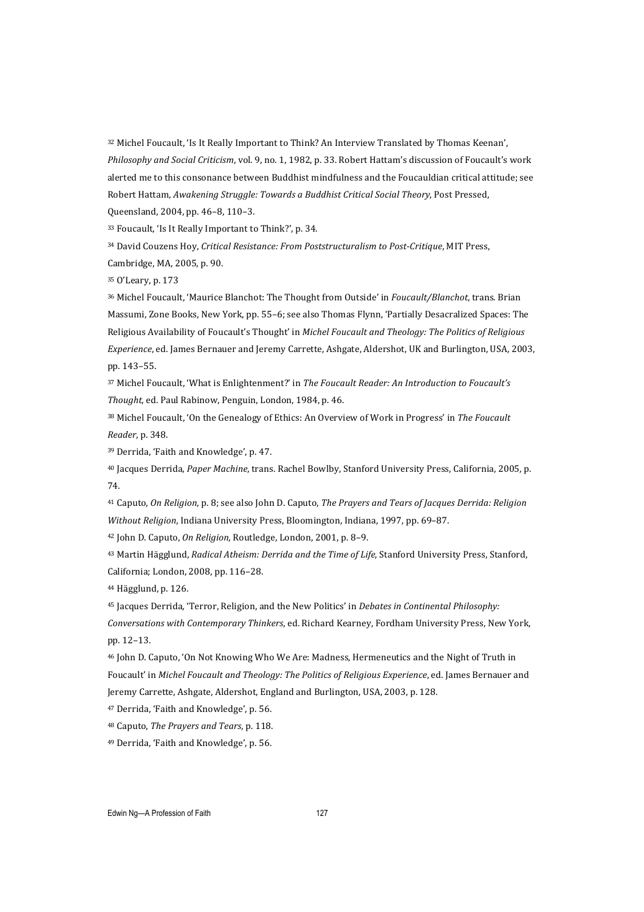<sup>32</sup> Michel Foucault, 'Is It Really Important to Think? An Interview Translated by Thomas Keenan', *Philosophy and Social Criticism, vol.* 9, no. 1, 1982, p. 33. Robert Hattam's discussion of Foucault's work alerted me to this consonance between Buddhist mindfulness and the Foucauldian critical attitude; see Robert Hattam, Awakening Struggle: Towards a Buddhist Critical Social Theory, Post Pressed, Queensland, 2004, pp. 46-8, 110-3.

33 Foucault, 'Is It Really Important to Think?', p. 34.

<sup>34</sup> David Couzens Hoy, *Critical Resistance: From Poststructuralism to Post-Critique*, MIT Press,

Cambridge, MA, 2005, p. 90.

35 O'Leary, p. 173

<sup>36</sup> Michel Foucault, 'Maurice Blanchot: The Thought from Outside' in *Foucault/Blanchot*, trans. Brian Massumi, Zone Books, New York, pp. 55–6; see also Thomas Flynn, 'Partially Desacralized Spaces: The Religious Availability of Foucault's Thought' in *Michel Foucault and Theology: The Politics of Religious Experience*, ed. James Bernauer and Jeremy Carrette, Ashgate, Aldershot, UK and Burlington, USA, 2003, pp. 143–55. 

<sup>37</sup> Michel Foucault, 'What is Enlightenment?' in *The Foucault Reader: An Introduction to Foucault's Thought*, ed. Paul Rabinow, Penguin, London, 1984, p. 46.

<sup>38</sup> Michel Foucault, 'On the Genealogy of Ethics: An Overview of Work in Progress' in *The Foucault Reader*, p. 348.

39 Derrida, 'Faith and Knowledge', p. 47.

<sup>40</sup> Jacques Derrida, *Paper Machine*, trans. Rachel Bowlby, Stanford University Press, California, 2005, p. 74.

<sup>41</sup> Caputo, On Religion, p. 8; see also John D. Caputo, *The Prayers and Tears of Jacques Derrida: Religion Without Religion*, Indiana University Press, Bloomington, Indiana, 1997, pp. 69-87.

<sup>42</sup> John D. Caputo, On Religion, Routledge, London, 2001, p. 8-9.

43 Martin Hägglund, *Radical Atheism: Derrida and the Time of Life*, Stanford University Press, Stanford, California; London, 2008, pp. 116-28.

44 Hägglund, p. 126.

<sup>45</sup> Jacques Derrida, 'Terror, Religion, and the New Politics' in *Debates in Continental Philosophy: Conversations with Contemporary Thinkers*, ed. Richard Kearney, Fordham University Press, New York, pp. 12–13.

<sup>46</sup> John D. Caputo, 'On Not Knowing Who We Are: Madness, Hermeneutics and the Night of Truth in Foucault' in *Michel Foucault and Theology: The Politics of Religious Experience*, ed. James Bernauer and Jeremy Carrette, Ashgate, Aldershot, England and Burlington, USA, 2003, p. 128.

<sup>47</sup> Derrida, 'Faith and Knowledge', p. 56.

<sup>48</sup> Caputo, *The Prayers and Tears*, p. 118.

<sup>49</sup> Derrida, 'Faith and Knowledge', p. 56.